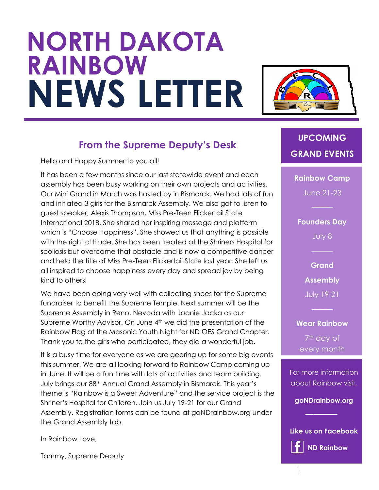# **NORTH DAKOTA RAINBOW NEWS LETTER**



#### **From the Supreme Deputy's Desk**

Hello and Happy Summer to you all!

It has been a few months since our last statewide event and each assembly has been busy working on their own projects and activities. Our Mini Grand in March was hosted by in Bismarck. We had lots of fun and initiated 3 girls for the Bismarck Assembly. We also got to listen to guest speaker, Alexis Thompson, Miss Pre-Teen Flickertail State International 2018. She shared her inspiring message and platform which is "Choose Happiness". She showed us that anything is possible with the right attitude. She has been treated at the Shriners Hospital for scoliosis but overcame that obstacle and is now a competitive dancer and held the title of Miss Pre-Teen Flickertail State last year. She left us all inspired to choose happiness every day and spread joy by being kind to others!

We have been doing very well with collecting shoes for the Supreme fundraiser to benefit the Supreme Temple. Next summer will be the Supreme Assembly in Reno, Nevada with Joanie Jacka as our Supreme Worthy Advisor. On June 4<sup>th</sup> we did the presentation of the Rainbow Flag at the Masonic Youth Night for ND OES Grand Chapter. Thank you to the girls who participated, they did a wonderful job.

It is a busy time for everyone as we are gearing up for some big events this summer. We are all looking forward to Rainbow Camp coming up in June. It will be a fun time with lots of activities and team building. July brings our 88th Annual Grand Assembly in Bismarck. This year's theme is "Rainbow is a Sweet Adventure" and the service project is the Shriner's Hospital for Children. Join us July 19-21 for our Grand Assembly. Registration forms can be found at goNDrainbow.org under the Grand Assembly tab.

In Rainbow Love,

Tammy, Supreme Deputy

## **UPCOMING GRAND EVENTS**

**Rainbow Camp** June 21-23

**Founders Day** July 8

> **Grand Assembly**

July 19-21

**Wear Rainbow** 7<sup>th</sup> day of every month

For more information about Rainbow visit,

**goNDrainbow.org**

**Like us on Facebook ND Rainbow**

**────**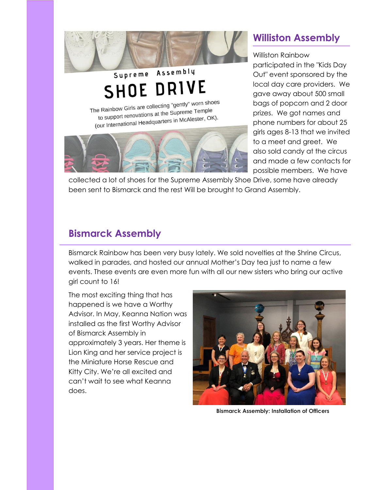

# Supreme SHOE DRIVE

The Rainbow Girls are collecting "gently" worn shoes e Rainbow Girls are collecting sometime.<br>to support renovations at the Supreme Temple to support renovations at the Supreme<br>(our International Headquarters in McAlester, OK).



### **Williston Assembly**

Williston Rainbow participated in the "Kids Day Out" event sponsored by the local day care providers. We gave away about 500 small bags of popcorn and 2 door prizes. We got names and phone numbers for about 25 girls ages 8-13 that we invited to a meet and greet. We also sold candy at the circus and made a few contacts for possible members. We have

collected a lot of shoes for the Supreme Assembly Shoe Drive, some have already been sent to Bismarck and the rest Will be brought to Grand Assembly.

#### **Bismarck Assembly**

Bismarck Rainbow has been very busy lately. We sold novelties at the Shrine Circus, walked in parades, and hosted our annual Mother's Day tea just to name a few events. These events are even more fun with all our new sisters who bring our active girl count to 16!

The most exciting thing that has happened is we have a Worthy Advisor. In May, Keanna Nation was installed as the first Worthy Advisor of Bismarck Assembly in approximately 3 years. Her theme is Lion King and her service project is the Miniature Horse Rescue and Kitty City. We're all excited and can't wait to see what Keanna does.



**Bismarck Assembly: Installation of Officers**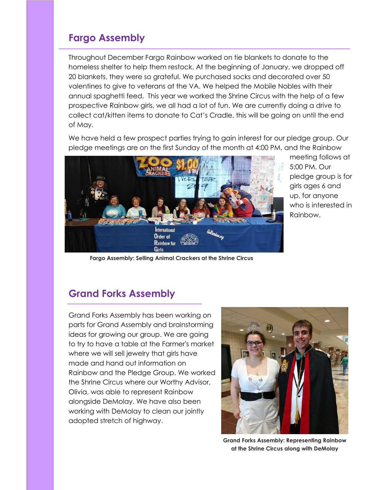#### **Fargo Assembly**

Throughout December Fargo Rainbow worked on tie blankets to donate to the homeless shelter to help them restock. At the beginning of January, we dropped off 20 blankets, they were so grateful. We purchased socks and decorated over 50 valentines to give to veterans at the VA. We helped the Mobile Nobles with their annual spaghetti feed. This year we worked the Shrine Circus with the help of a few prospective Rainbow girls, we all had a lot of fun. We are currently doing a drive to collect cat/kitten items to donate to Cat's Cradle, this will be going on until the end of May.

We have held a few prospect parties trying to gain interest for our pledge group. Our pledge meetings are on the first Sunday of the month at 4:00 PM, and the Rainbow



meeting follows at 5:00 PM. Our pledge group is for girls ages 6 and up, for anyone who is interested in Rainbow.

**Fargo Assembly: Selling Animal Crackers at the Shrine Circus**

#### **Grand Forks Assembly**

Grand Forks Assembly has been working on parts for Grand Assembly and brainstorming ideas for growing our group. We are going to try to have a table at the Farmer's market where we will sell jewelry that girls have made and hand out information on Rainbow and the Pledge Group. We worked the Shrine Circus where our Worthy Advisor, Olivia, was able to represent Rainbow alongside DeMolay. We have also been working with DeMolay to clean our jointly adopted stretch of highway.



**Grand Forks Assembly: Representing Rainbow at the Shrine Circus along with DeMolay**